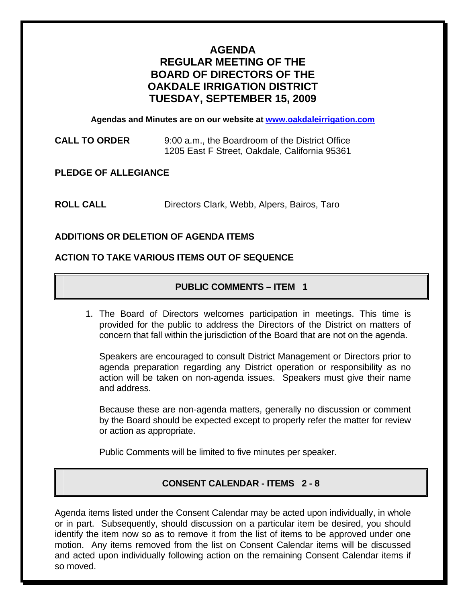# **AGENDA REGULAR MEETING OF THE BOARD OF DIRECTORS OF THE OAKDALE IRRIGATION DISTRICT TUESDAY, SEPTEMBER 15, 2009**

**Agendas and Minutes are on our website at [www.oakdaleirrigation.com](http://www.oakdaleirrigation.com/)**

**CALL TO ORDER** 9:00 a.m., the Boardroom of the District Office 1205 East F Street, Oakdale, California 95361

**PLEDGE OF ALLEGIANCE** 

**ROLL CALL** Directors Clark, Webb, Alpers, Bairos, Taro

# **ADDITIONS OR DELETION OF AGENDA ITEMS**

## **ACTION TO TAKE VARIOUS ITEMS OUT OF SEQUENCE**

# **PUBLIC COMMENTS – ITEM 1**

1. The Board of Directors welcomes participation in meetings. This time is provided for the public to address the Directors of the District on matters of concern that fall within the jurisdiction of the Board that are not on the agenda.

Speakers are encouraged to consult District Management or Directors prior to agenda preparation regarding any District operation or responsibility as no action will be taken on non-agenda issues. Speakers must give their name and address.

Because these are non-agenda matters, generally no discussion or comment by the Board should be expected except to properly refer the matter for review or action as appropriate.

Public Comments will be limited to five minutes per speaker.

# **CONSENT CALENDAR - ITEMS 2 - 8**

Agenda items listed under the Consent Calendar may be acted upon individually, in whole or in part. Subsequently, should discussion on a particular item be desired, you should identify the item now so as to remove it from the list of items to be approved under one motion. Any items removed from the list on Consent Calendar items will be discussed and acted upon individually following action on the remaining Consent Calendar items if so moved.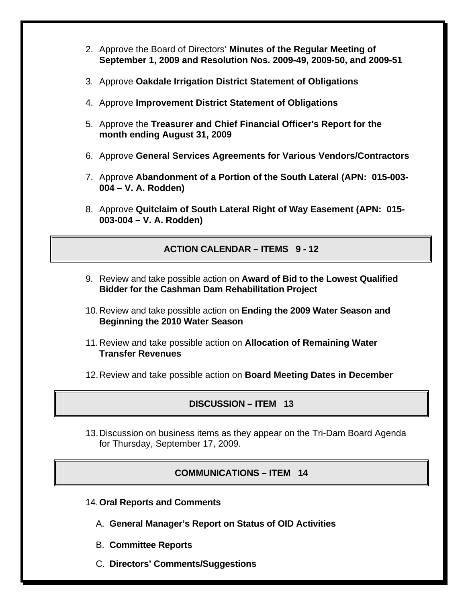- 2. Approve the Board of Directors' **Minutes of the Regular Meeting of September 1, 2009 and Resolution Nos. 2009-49, 2009-50, and 2009-51**
- 3. Approve **Oakdale Irrigation District Statement of Obligations**
- 4. Approve **Improvement District Statement of Obligations**
- 5. Approve the **Treasurer and Chief Financial Officer's Report for the month ending August 31, 2009**
- 6. Approve **General Services Agreements for Various Vendors/Contractors**
- 7. Approve **Abandonment of a Portion of the South Lateral (APN: 015-003- 004 – V. A. Rodden)**
- 8. Approve **Quitclaim of South Lateral Right of Way Easement (APN: 015- 003-004 – V. A. Rodden)**

# **ACTION CALENDAR – ITEMS 9 - 12**

- 9. Review and take possible action on **Award of Bid to the Lowest Qualified Bidder for the Cashman Dam Rehabilitation Project**
- 10. Review and take possible action on **Ending the 2009 Water Season and Beginning the 2010 Water Season**
- 11. Review and take possible action on **Allocation of Remaining Water Transfer Revenues**
- 12. Review and take possible action on **Board Meeting Dates in December**

# **DISCUSSION – ITEM 13**

13. Discussion on business items as they appear on the Tri-Dam Board Agenda for Thursday, September 17, 2009.

## **COMMUNICATIONS – ITEM 14**

- 14.**Oral Reports and Comments**
	- A. **General Manager's Report on Status of OID Activities**
	- B. **Committee Reports**
	- C. **Directors' Comments/Suggestions**